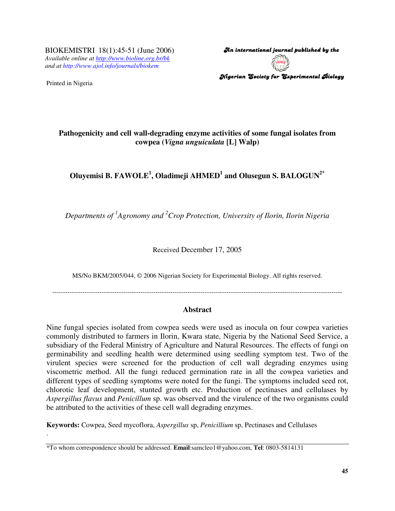BIOKEMISTRI 18(1):45-51 (June 2006) *Available online at http://www.bioline.org.br/bk and at http://www.ajol.info/journals/biokem*

Printed in Nigeria

.

An international journal published by the  $\,$ Nigerian Society for Experimental Biology

## **Pathogenicity and cell wall-degrading enzyme activities of some fungal isolates from cowpea (***Vigna unguiculata* **[L] Walp)**

# **Oluyemisi B. FAWOLE 1 , Oladimeji AHMED 1 and Olusegun S. BALOGUN 2\***

*Departments of 1 Agronomy and <sup>2</sup>Crop Protection, University of Ilorin, Ilorin Nigeria*

Received December 17, 2005

MS/No BKM/2005/044, © 2006 Nigerian Society for Experimental Biology. All rights reserved.

---------------------------------------------------------------------------------------------------------------------------------------

## **Abstract**

Nine fungal species isolated from cowpea seeds were used as inocula on four cowpea varieties commonly distributed to farmers in Ilorin, Kwara state, Nigeria by the National Seed Service, a subsidiary of the Federal Ministry of Agriculture and Natural Resources. The effects of fungi on germinability and seedling health were determined using seedling symptom test. Two of the virulent species were screened for the production of cell wall degrading enzymes using viscometric method. All the fungi reduced germination rate in all the cowpea varieties and different types of seedling symptoms were noted for the fungi. The symptoms included seed rot, chlorotic leaf development, stunted growth etc. Production of pectinases and cellulases by *Aspergillus flavus* and *Penicillum* sp. was observed and the virulence of the two organisms could be attributed to the activities of these cell wall degrading enzymes.

**Keywords:** Cowpea, Seed mycoflora, *Aspergillus* sp, *Penicillium* sp, Pectinases and Cellulases

<sup>\*</sup>To whom correspondence should be addressed. **Email**:samcleo1@yahoo.com, **Tel**: 0803-5814131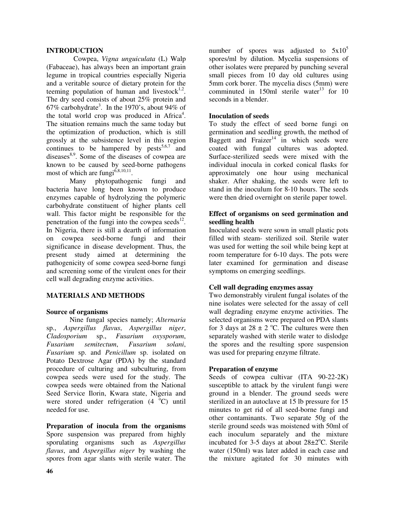#### **INTRODUCTION**

Cowpea, *Vigna unguiculata* (L) Walp (Fabaceae), has always been an important grain legume in tropical countries especially Nigeria and a veritable source of dietary protein for the teeming population of human and livestock $1,2$ . The dry seed consists of about 25% protein and 67% carbohydrate<sup>3</sup>. In the 1970's, about 94% of the total world crop was produced in Africa<sup>4</sup>. The situation remains much the same today but the optimization of production, which is still grossly at the subsistence level in this region continues to be hampered by  $pests^{5,6,7}$  and diseases<sup>8,9</sup>. Some of the diseases of cowpea are known to be caused by seed-borne pathogens most of which are fungi<sup>6,8,10,11</sup>.

Many phytopathogenic fungi and bacteria have long been known to produce enzymes capable of hydrolyzing the polymeric carbohydrate constituent of higher plants cell wall. This factor might be responsible for the penetration of the fungi into the cowpea seeds<sup>12</sup>. In Nigeria, there is still a dearth of information on cowpea seed-borne fungi and their significance in disease development. Thus, the present study aimed at determining the pathogenicity of some cowpea seed-borne fungi and screening some of the virulent ones for their cell wall degrading enzyme activities.

#### **MATERIALS AND METHODS**

#### **Source of organisms**

Nine fungal species namely; *Alternaria* sp., *Aspergillus flavus*, *Aspergillus niger*, *Cladosporium* sp., *Fusarium oxysporum*, *Fusarium semitectum*, *Fusarium solani*, *Fusarium* sp. and *Penicillum* sp. isolated on Potato Dextrose Agar (PDA) by the standard procedure of culturing and subculturing, from cowpea seeds were used for the study. The cowpea seeds were obtained from the National Seed Service Ilorin, Kwara state, Nigeria and were stored under refrigeration  $(4 \ ^oC)$  until needed for use.

**Preparation of inocula from the organisms** Spore suspension was prepared from highly sporulating organisms such as *Aspergillus flavus*, and *Aspergillus niger* by washing the spores from agar slants with sterile water. The

number of spores was adjusted to  $5x10^5$ spores/ml by dilution. Mycelia suspensions of other isolates were prepared by punching several small pieces from 10 day old cultures using 5mm cork borer. The mycelia discs (5mm) were comminuted in 150ml sterile water<sup>13</sup> for 10 seconds in a blender.

#### **Inoculation of seeds**

To study the effect of seed borne fungi on germination and seedling growth, the method of Baggett and Fraizer<sup>14</sup> in which seeds were coated with fungal cultures was adopted. Surface-sterilized seeds were mixed with the individual inocula in corked conical flasks for approximately one hour using mechanical shaker. After shaking, the seeds were left to stand in the inoculum for 8-10 hours. The seeds were then dried overnight on sterile paper towel.

## **Effect of organisms on seed germination and seedling health**

Inoculated seeds were sown in small plastic pots filled with steam- sterilized soil. Sterile water was used for wetting the soil while being kept at room temperature for 6-10 days. The pots were later examined for germination and disease symptoms on emerging seedlings.

#### **Cell wall degrading enzymes assay**

Two demonstrably virulent fungal isolates of the nine isolates were selected for the assay of cell wall degrading enzyme enzyme activities. The selected organisms were prepared on PDA slants for 3 days at  $28 \pm 2$  °C. The cultures were then separately washed with sterile water to dislodge the spores and the resulting spore suspension was used for preparing enzyme filtrate.

#### **Preparation of enzyme**

Seeds of cowpea cultivar (ITA 90-22-2K) susceptible to attack by the virulent fungi were ground in a blender. The ground seeds were sterilized in an autoclave at 15 lb pressure for 15 minutes to get rid of all seed-borne fungi and other contaminants. Two separate 50g of the sterile ground seeds was moistened with 50ml of each inoculum separately and the mixture incubated for 3-5 days at about  $28 \pm 2^{\circ}$ C. Sterile water (150ml) was later added in each case and the mixture agitated for 30 minutes with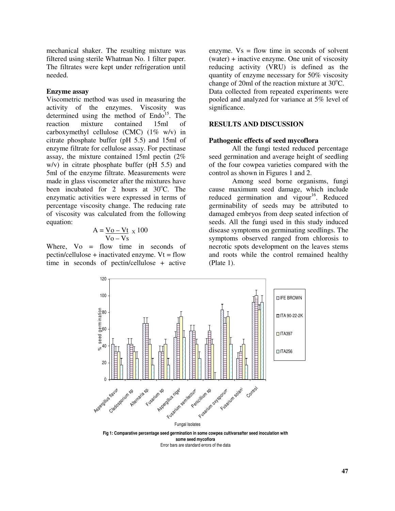mechanical shaker. The resulting mixture was filtered using sterile Whatman No. 1 filter paper. The filtrates were kept under refrigeration until needed.

#### **Enzyme assay**

Viscometric method was used in measuring the activity of the enzymes. Viscosity was determined using the method of Endo<sup>15</sup>. The reaction mixture contained 15ml of carboxymethyl cellulose (CMC) (1% w/v) in citrate phosphate buffer (pH 5.5) and 15ml of enzyme filtrate for cellulose assay. For pectinase assay, the mixture contained 15ml pectin (2% w/v) in citrate phosphate buffer (pH 5.5) and 5ml of the enzyme filtrate. Measurements were made in glass viscometer after the mixtures have been incubated for 2 hours at 30°C. The enzymatic activities were expressed in terms of percentage viscosity change. The reducing rate of viscosity was calculated from the following equation:

$$
A = \frac{V_O - Vt}{V_O - Vs} \times 100
$$

Where,  $Vo = flow$  time in seconds of  $pectin/cellulose + inactivated enzyme. Vt = flow$ time in seconds of pectin/cellulose + active

enzyme.  $Vs = flow$  time in seconds of solvent (water) + inactive enzyme. One unit of viscosity reducing activity (VRU) is defined as the quantity of enzyme necessary for 50% viscosity change of 20ml of the reaction mixture at  $30^{\circ}$ C. Data collected from repeated experiments were pooled and analyzed for variance at 5% level of significance.

#### **RESULTS AND DISCUSSION**

#### **Pathogenic effects of seed mycoflora**

All the fungi tested reduced percentage seed germination and average height of seedling of the four cowpea varieties compared with the control as shown in Figures 1 and 2.

Among seed borne organisms, fungi cause maximum seed damage, which include reduced germination and vigour<sup>16</sup>. Reduced germinability of seeds may be attributed to damaged embryos from deep seated infection of seeds. All the fungi used in this study induced disease symptoms on germinating seedlings. The symptoms observed ranged from chlorosis to necrotic spots development on the leaves stems and roots while the control remained healthy (Plate 1).



Error bars are standard errors of the data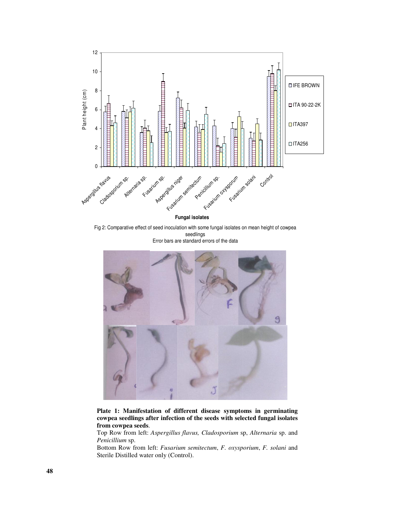

Fig 2: Comparative effect of seed inoculation with some fungal isolates on mean height of cowpea seedlings Error bars are standard errors of the data



**Plate 1: Manifestation of different disease symptoms in germinating cowpea seedlings after infection of the seeds with selected fungal isolates from cowpea seeds**.

Top Row from left: *Aspergillus flavus, Cladosporium* sp, *Alternaria* sp. and *Penicillium* sp.

Bottom Row from left: *Fusarium semitectum*, *F. oxysporium*, *F. solani* and Sterile Distilled water only (Control).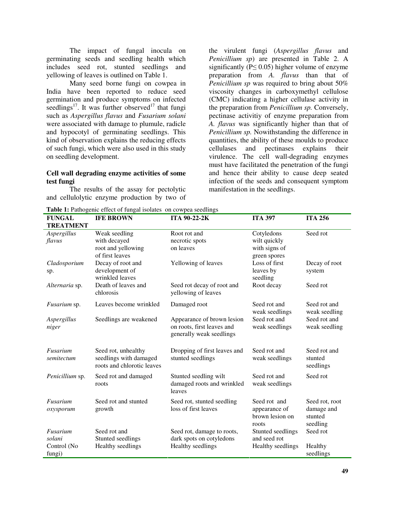The impact of fungal inocula on germinating seeds and seedling health which includes seed rot, stunted seedlings and yellowing of leaves is outlined on Table 1.

Many seed borne fungi on cowpea in India have been reported to reduce seed germination and produce symptoms on infected seedlings<sup>17</sup>. It was further observed<sup>17</sup> that fungi such as *Aspergillus flavus* and *Fusarium solani* were associated with damage to plumule, radicle and hypocotyl of germinating seedlings. This kind of observation explains the reducing effects of such fungi, which were also used in this study on seedling development.

#### **Cell wall degrading enzyme activities of some test fungi**

The results of the assay for pectolytic and cellulolytic enzyme production by two of

the virulent fungi (*Aspergillus flavus* and *Penicillium sp*) are presented in Table 2. A significantly ( $P \le 0.05$ ) higher volume of enzyme preparation from *A. flavus* than that of *Penicillium sp* was required to bring about 50% viscosity changes in carboxymethyl cellulose (CMC) indicating a higher cellulase activity in the preparation from *Penicillium sp.* Conversely, pectinase activitiy of enzyme preparation from *A. flavus* was significantly higher than that of *Penicillium sp.* Nowithstanding the difference in quantities, the ability of these moulds to produce cellulases and pectinases explains their virulence. The cell wall-degrading enzymes must have facilitated the penetration of the fungi and hence their ability to cause deep seated infection of the seeds and consequent symptom manifestation in the seedlings.

| <b>FUNGAL</b><br><b>TREATMENT</b> | <b>IFE BROWN</b>                                                            | ITA 90-22-2K                                                                         | <b>ITA 397</b>                                            | <b>ITA 256</b>                                      |
|-----------------------------------|-----------------------------------------------------------------------------|--------------------------------------------------------------------------------------|-----------------------------------------------------------|-----------------------------------------------------|
| Aspergillus<br>flavus             | Weak seedling<br>with decayed<br>root and yellowing                         | Root rot and<br>necrotic spots<br>on leaves                                          | Cotyledons<br>wilt quickly<br>with signs of               | Seed rot                                            |
|                                   | of first leaves                                                             |                                                                                      | green spores                                              |                                                     |
| Cladosporium<br>sp.               | Decay of root and<br>development of<br>wrinkled leaves                      | Yellowing of leaves                                                                  | Loss of first<br>leaves by<br>seedling                    | Decay of root<br>system                             |
| Alternaria sp.                    | Death of leaves and<br>chlorosis                                            | Seed rot decay of root and<br>yellowing of leaves                                    | Root decay                                                | Seed rot                                            |
| <i>Fusarium</i> sp.               | Leaves become wrinkled                                                      | Damaged root                                                                         | Seed rot and<br>weak seedlings                            | Seed rot and<br>weak seedling                       |
| Aspergillus<br>niger              | Seedlings are weakened                                                      | Appearance of brown lesion<br>on roots, first leaves and<br>generally weak seedlings | Seed rot and<br>weak seedlings                            | Seed rot and<br>weak seedling                       |
| Fusarium<br>semitectum            | Seed rot, unhealthy<br>seedlings with damaged<br>roots and chlorotic leaves | Dropping of first leaves and<br>stunted seedlings                                    | Seed rot and<br>weak seedlings                            | Seed rot and<br>stunted<br>seedlings                |
| Penicillium sp.                   | Seed rot and damaged<br>roots                                               | Stunted seedling wilt<br>damaged roots and wrinkled<br>leaves                        | Seed rot and<br>weak seedlings                            | Seed rot                                            |
| Fusarium<br>oxysporum             | Seed rot and stunted<br>growth                                              | Seed rot, stunted seedling<br>loss of first leaves                                   | Seed rot and<br>appearance of<br>brown lesion on<br>roots | Seed rot, root<br>damage and<br>stunted<br>seedling |
| Fusarium                          | Seed rot and                                                                | Seed rot, damage to roots,                                                           | Stunted seedlings                                         | Seed rot                                            |
| solani<br>Control (No<br>fungi)   | Stunted seedlings<br>Healthy seedlings                                      | dark spots on cotyledons<br>Healthy seedlings                                        | and seed rot<br>Healthy seedlings                         | Healthy<br>seedlings                                |

**Table 1:** Pathogenic effect of fungal isolates on cowpea seedlings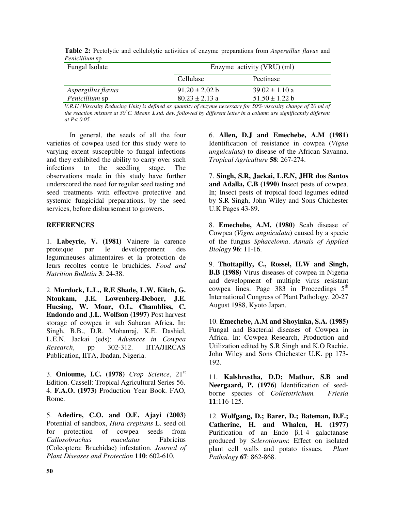| Fungal Isolate     | Enzyme activity (VRU) (ml) |                    |  |  |  |  |
|--------------------|----------------------------|--------------------|--|--|--|--|
|                    | Cellulase                  | Pectinase          |  |  |  |  |
| Aspergillus flavus | $91.20 \pm 2.02$ b         | $39.02 \pm 1.10$ a |  |  |  |  |
| Penicillium sp     | $80.23 \pm 2.13$ a         | $51.50 \pm 1.22$ b |  |  |  |  |

| Table 2: Pectolytic and cellulolytic activities of enzyme preparations from Aspergillus flavus and |  |  |  |  |  |
|----------------------------------------------------------------------------------------------------|--|--|--|--|--|
| <i>Penicillium</i> sp                                                                              |  |  |  |  |  |

V.R.U (Viscosity Reducing Unit) is defined as quantity of enzyme necessary for 50% viscosity change of 20 ml of the reaction mixture at 30°C. Means  $\pm$  std. dev. followed by different letter in a column are significantly different *at P< 0.05.*

In general, the seeds of all the four varieties of cowpea used for this study were to varying extent susceptible to fungal infections and they exhibited the ability to carry over such infections to the seedling stage. The observations made in this study have further underscored the need for regular seed testing and seed treatments with effective protective and systemic fungicidal preparations, by the seed services, before disbursement to growers.

## **REFERENCES**

1. **Labeyrie, V. (1981)** Vainere la carence proteique par le developpement des legumineuses alimentaires et la protection de leurs recoltes contre le bruchides. *Food and Nutrition Bulletin* **3**: 24-38.

2. **Murdock, L.L., R.E Shade, L.W. Kitch, G. Ntoukam, J.E. Lowenberg-Deboer, J.E. Huesing, W. Moar, O.L. Chambliss, C. Endondo and J.L. Wolfson (1997)** Post harvest storage of cowpea in sub Saharan Africa. In: Singh, B.B., D.R. Mohanraj, K.E. Dashiel, L.E.N. Jackai (eds): *Advances in Cowpea Research*, pp 302-312. IITA/JIRCAS Publication, IITA, Ibadan, Nigeria.

3. **Onioume, I.C. (1978)** *Crop Science*, 21 st Edition. Cassell: Tropical Agricultural Series 56. 4. **F.A.O. (1973)** Production Year Book. FAO, Rome.

5. **Adedire, C.O. and O.E. Ajayi (2003)** Potential of sandbox, *Hura crepitans* L. seed oil for protection of cowpea seeds from *Callosobruchus maculatus* Fabricius (Coleoptera: Bruchidae) infestation. *Journal of Plant Diseases and Protection* **110**: 602-610.

6. **Allen, D.J and Emechebe, A.M (1981)** Identification of resistance in cowpea (*Vigna unguiculata*) to disease of the African Savanna. *Tropical Agriculture* **58**: 267-274.

7. **Singh, S.R, Jackai, L.E.N, JHR dos Santos and Adalla, C.B (1990)** Insect pests of cowpea. In; Insect pests of tropical food legumes edited by S.R Singh, John Wiley and Sons Chichester U.K Pages 43-89.

8. **Emechebe, A.M. (1980)** Scab disease of Cowpea (*Vigna unguiculata*) caused by a specie of the fungus *Sphaceloma*. *Annals of Applied Biology* **96**: 11-16.

9. **Thottapilly, C., Rossel, H.W and Singh, B.B (1988)** Virus diseases of cowpea in Nigeria and development of multiple virus resistant cowpea lines. Page  $383$  in Proceedings  $5<sup>th</sup>$ International Congress of Plant Pathology. 20-27 August 1988, Kyoto Japan.

10. **Emechebe, A.M and Shoyinka, S.A. (1985)** Fungal and Bacterial diseases of Cowpea in Africa. In: Cowpea Research, Production and Utilization edited by S.R Singh and K.O Rachie. John Wiley and Sons Chichester U.K. pp 173- 192.

11. **Kalshrestha, D.D; Mathur, S.B and Neergaard, P. (1976)** Identification of seedborne species of *Colletotrichum. Friesia* **11**:116-125.

12. **Wolfgang, D.; Barer, D.; Bateman, D.F.; Catherine, H. and Whalen, H. (1977)** Purification of an Endo  $\beta$ , 1-4 galactanase produced by *Sclerotiorum*: Effect on isolated plant cell walls and potato tissues. *Plant Pathology* **67**: 862-868.